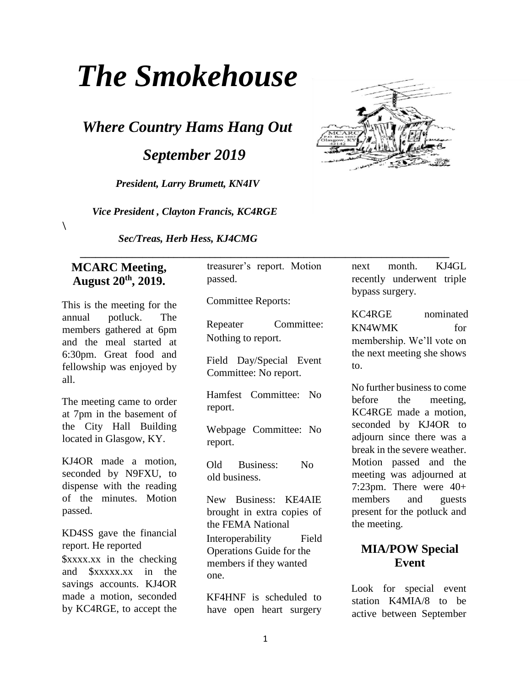# *The Smokehouse*

*Where Country Hams Hang Out* 

 *September 2019* 

*President, Larry Brumett, KN4IV* 

 *Vice President , Clayton Francis, KC4RGE* 

*Sec/Treas, Herb Hess, KJ4CMG* 

#### **MCARC Meeting, August 20th, 2019.**

 $\lambda$ 

This is the meeting for the annual potluck. The members gathered at 6pm and the meal started at 6:30pm. Great food and fellowship was enjoyed by all.

The meeting came to order at 7pm in the basement of the City Hall Building located in Glasgow, KY.

KJ4OR made a motion, seconded by N9FXU, to dispense with the reading of the minutes. Motion passed.

KD4SS gave the financial report. He reported \$xxxx.xx in the checking and \$xxxxx.xx in the savings accounts. KJ4OR made a motion, seconded by KC4RGE, to accept the

treasurer's report. Motion passed.

 **\_\_\_\_\_\_\_\_\_\_\_\_\_\_\_\_\_\_\_\_\_\_\_\_\_\_\_\_\_\_\_\_\_\_\_\_\_\_\_\_\_\_\_\_\_\_\_\_\_\_\_\_\_\_\_\_\_\_\_\_\_\_\_\_\_\_\_\_\_\_\_** 

Committee Reports:

Repeater Committee: Nothing to report.

Field Day/Special Event Committee: No report.

Hamfest Committee: No report.

Webpage Committee: No report.

Old Business: No old business.

New Business: KE4AIE brought in extra copies of the FEMA National Interoperability Field Operations Guide for the members if they wanted one.

KF4HNF is scheduled to have open heart surgery



next month. KJ4GL recently underwent triple bypass surgery.

KC4RGE nominated KN4WMK for membership. We'll vote on the next meeting she shows to.

No further business to come before the meeting, KC4RGE made a motion, seconded by KJ4OR to adjourn since there was a break in the severe weather. Motion passed and the meeting was adjourned at 7:23pm. There were 40+ members and guests present for the potluck and the meeting.

### **MIA/POW Special Event**

Look for special event station K4MIA/8 to be active between September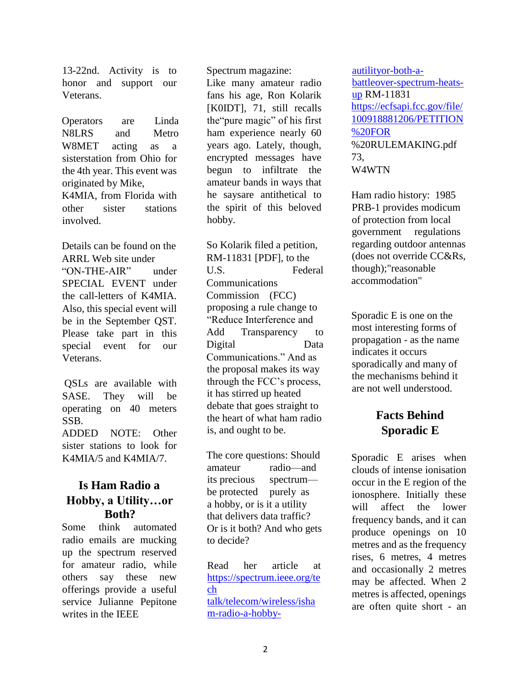13-22nd. Activity is to honor and support our Veterans.

Operators are Linda N8LRS and Metro W8MET acting as a sisterstation from Ohio for the 4th year. This event was originated by Mike, K4MIA, from Florida with other sister stations involved.

Details can be found on the ARRL Web site under "ON-THE-AIR" under SPECIAL EVENT under the call-letters of K4MIA. Also, this special event will be in the September QST. Please take part in this special event for our Veterans.

QSLs are available with SASE. They will be operating on 40 meters SSB. ADDED NOTE: Other

sister stations to look for K4MIA/5 and K4MIA/7.

#### **Is Ham Radio a Hobby, a Utility…or Both?**

Some think automated radio emails are mucking up the spectrum reserved for amateur radio, while others say these new offerings provide a useful service Julianne Pepitone writes in the IEEE

Spectrum magazine:

Like many amateur radio fans his age, Ron Kolarik [K0IDT], 71, still recalls the"pure magic" of his first ham experience nearly 60 years ago. Lately, though, encrypted messages have begun to infiltrate the amateur bands in ways that he saysare antithetical to the spirit of this beloved hobby.

So Kolarik filed a petition, RM-11831 [PDF], to the U.S. Federal Communications Commission (FCC) proposing a rule change to "Reduce Interference and Add Transparency to Digital Data Communications." And as the proposal makes its way through the FCC's process, it has stirred up heated debate that goes straight to the heart of what ham radio is, and ought to be.

The core questions: Should amateur radio—and its precious spectrum be protected purely as a hobby, or is it a utility that delivers data traffic? Or is it both? And who gets to decide?

Read her article at https://spectrum.ieee.org/te ch talk/telecom/wireless/isha m-radio-a-hobbyautilityor-both-abattleover-spectrum-heatsup RM-11831 https://ecfsapi.fcc.gov/file/ 100918881206/PETITION %20FOR %20RULEMAKING.pdf 73, W4WTN

Ham radio history: 1985 PRB-1 provides modicum of protection from local government regulations regarding outdoor antennas (does not override CC&Rs, though);"reasonable accommodation"

Sporadic E is one on the most interesting forms of propagation - as the name indicates it occurs sporadically and many of the mechanisms behind it are not well understood.

# **Facts Behind Sporadic E**

Sporadic E arises when clouds of intense ionisation occur in the E region of the ionosphere. Initially these will affect the lower frequency bands, and it can produce openings on 10 metres and as the frequency rises, 6 metres, 4 metres and occasionally 2 metres may be affected. When 2 metres is affected, openings are often quite short - an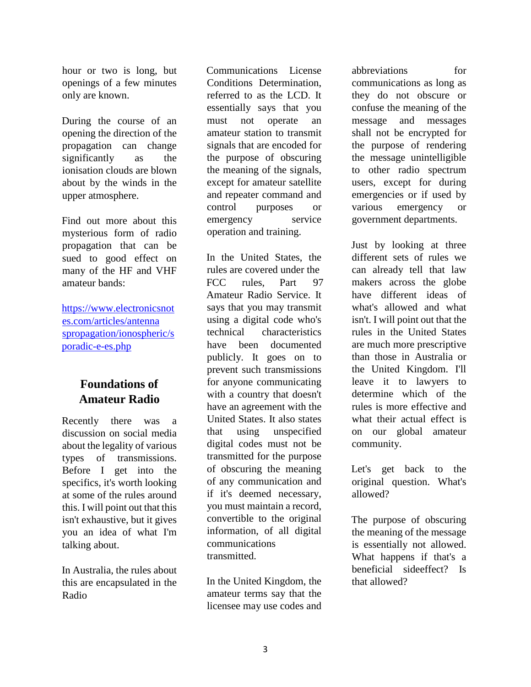hour or two is long, but openings of a few minutes only are known.

During the course of an opening the direction of the propagation can change significantly as the ionisation clouds are blown about by the winds in the upper atmosphere.

Find out more about this mysterious form of radio propagation that can be sued to good effect on many of the HF and VHF amateur bands:

https://www.electronicsnot es.com/articles/antenna spropagation/ionospheric/s poradic-e-es.php

## **Foundations of Amateur Radio**

Recently there was a discussion on social media about the legality of various types of transmissions. Before I get into the specifics, it's worth looking at some of the rules around this. I will point out that this isn't exhaustive, but it gives you an idea of what I'm talking about.

In Australia, the rules about this are encapsulated in the Radio

Communications License Conditions Determination, referred to as the LCD. It essentially says that you must not operate an amateur station to transmit signals that are encoded for the purpose of obscuring the meaning of the signals, except for amateur satellite and repeater command and control purposes or emergency service operation and training.

In the United States, the rules are covered under the FCC rules, Part 97 Amateur Radio Service. It says that you may transmit using a digital code who's technical characteristics have been documented publicly. It goes on to prevent such transmissions for anyone communicating with a country that doesn't have an agreement with the United States. It also states that using unspecified digital codes must not be transmitted for the purpose of obscuring the meaning of any communication and if it's deemed necessary, you must maintain a record, convertible to the original information, of all digital communications transmitted.

In the United Kingdom, the amateur terms say that the licensee may use codes and abbreviations for communications as long as they do not obscure or confuse the meaning of the message and messages shall not be encrypted for the purpose of rendering the message unintelligible to other radio spectrum users, except for during emergencies or if used by various emergency or government departments.

Just by looking at three different sets of rules we can already tell that law makers across the globe have different ideas of what's allowed and what isn't. I will point out that the rules in the United States are much more prescriptive than those in Australia or the United Kingdom. I'll leave it to lawyers to determine which of the rules is more effective and what their actual effect is on our global amateur community.

Let's get back to the original question. What's allowed?

The purpose of obscuring the meaning of the message is essentially not allowed. What happens if that's a beneficial sideeffect? Is that allowed?